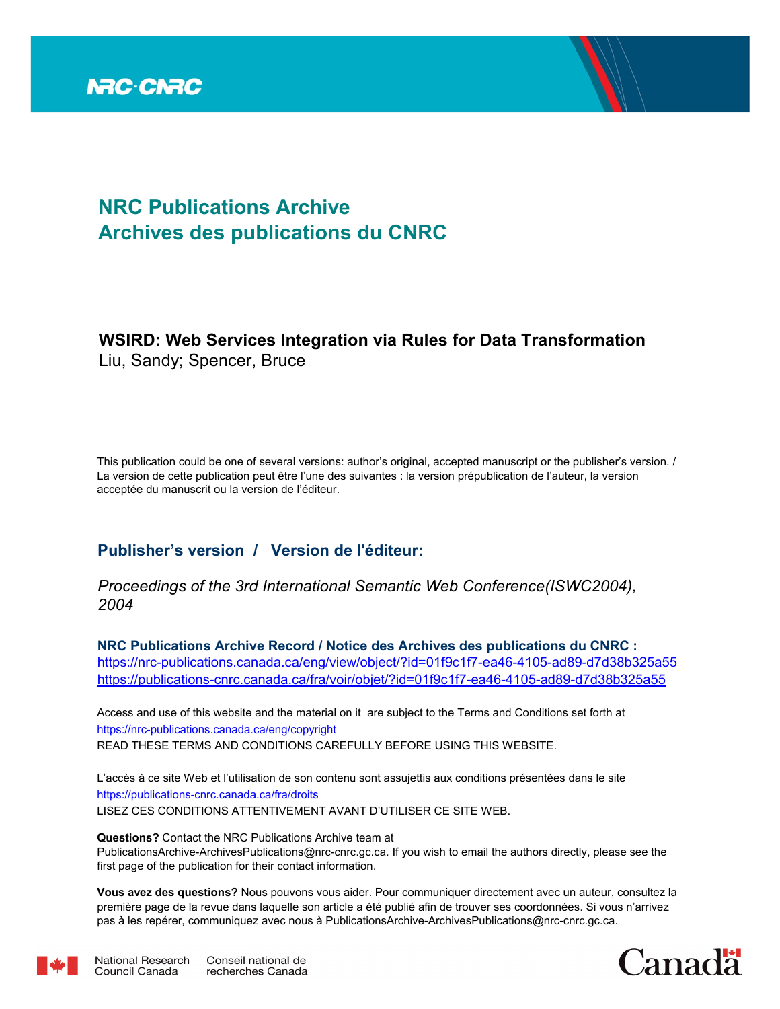

# **NRC Publications Archive Archives des publications du CNRC**

# **WSIRD: Web Services Integration via Rules for Data Transformation** Liu, Sandy; Spencer, Bruce

This publication could be one of several versions: author's original, accepted manuscript or the publisher's version. / La version de cette publication peut être l'une des suivantes : la version prépublication de l'auteur, la version acceptée du manuscrit ou la version de l'éditeur.

# **Publisher's version / Version de l'éditeur:**

*Proceedings of the 3rd International Semantic Web Conference(ISWC2004), 2004*

**NRC Publications Archive Record / Notice des Archives des publications du CNRC :** https://nrc-publications.canada.ca/eng/view/object/?id=01f9c1f7-ea46-4105-ad89-d7d38b325a55 https://publications-cnrc.canada.ca/fra/voir/objet/?id=01f9c1f7-ea46-4105-ad89-d7d38b325a55

READ THESE TERMS AND CONDITIONS CAREFULLY BEFORE USING THIS WEBSITE. https://nrc-publications.canada.ca/eng/copyright Access and use of this website and the material on it are subject to the Terms and Conditions set forth at

https://publications-cnrc.canada.ca/fra/droits L'accès à ce site Web et l'utilisation de son contenu sont assujettis aux conditions présentées dans le site LISEZ CES CONDITIONS ATTENTIVEMENT AVANT D'UTILISER CE SITE WEB.

**Questions?** Contact the NRC Publications Archive team at PublicationsArchive-ArchivesPublications@nrc-cnrc.gc.ca. If you wish to email the authors directly, please see the first page of the publication for their contact information.

**Vous avez des questions?** Nous pouvons vous aider. Pour communiquer directement avec un auteur, consultez la première page de la revue dans laquelle son article a été publié afin de trouver ses coordonnées. Si vous n'arrivez pas à les repérer, communiquez avec nous à PublicationsArchive-ArchivesPublications@nrc-cnrc.gc.ca.



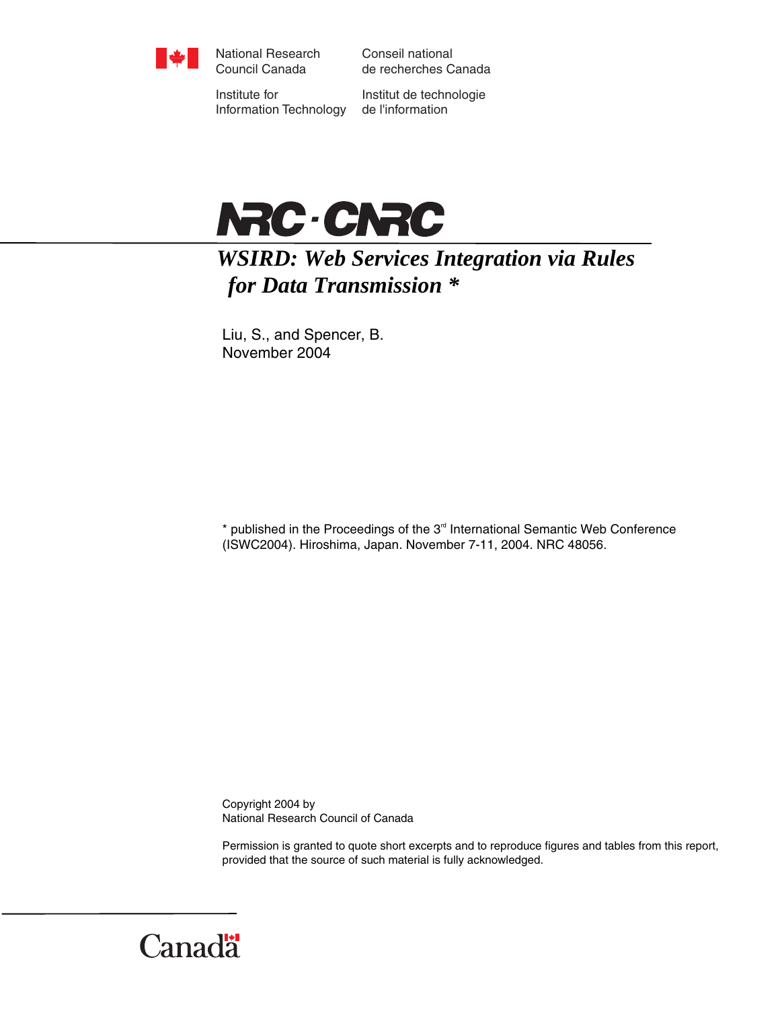

National Research Council Canada

Conseil national de recherches Canada

Institute for Information Technology

Institut de technologie de l'information



# *WSIRD: Web Services Integration via Rules for Data Transmission \**

Liu, S., and Spencer, B. November 2004

 $*$  published in the Proceedings of the  $3<sup>rd</sup>$  International Semantic Web Conference (ISWC2004). Hiroshima, Japan. November 7-11, 2004. NRC 48056.

Copyright 2004 by National Research Council of Canada

Permission is granted to quote short excerpts and to reproduce figures and tables from this report, provided that the source of such material is fully acknowledged.

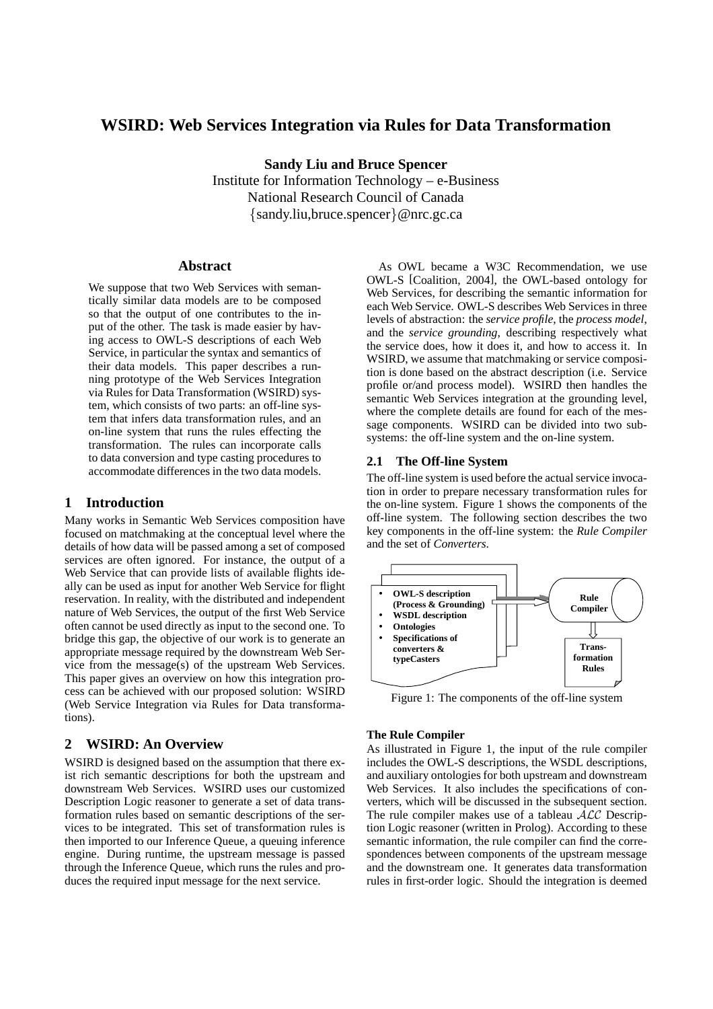## **WSIRD: Web Services Integration via Rules for Data Transformation**

**Sandy Liu and Bruce Spencer**

Institute for Information Technology – e-Business National Research Council of Canada {sandy.liu,bruce.spencer}@nrc.gc.ca

#### **Abstract**

We suppose that two Web Services with semantically similar data models are to be composed so that the output of one contributes to the input of the other. The task is made easier by having access to OWL-S descriptions of each Web Service, in particular the syntax and semantics of their data models. This paper describes a running prototype of the Web Services Integration via Rules for Data Transformation (WSIRD) system, which consists of two parts: an off-line system that infers data transformation rules, and an on-line system that runs the rules effecting the transformation. The rules can incorporate calls to data conversion and type casting procedures to accommodate differences in the two data models.

## **1 Introduction**

Many works in Semantic Web Services composition have focused on matchmaking at the conceptual level where the details of how data will be passed among a set of composed services are often ignored. For instance, the output of a Web Service that can provide lists of available flights ideally can be used as input for another Web Service for flight reservation. In reality, with the distributed and independent nature of Web Services, the output of the first Web Service often cannot be used directly as input to the second one. To bridge this gap, the objective of our work is to generate an appropriate message required by the downstream Web Service from the message(s) of the upstream Web Services. This paper gives an overview on how this integration process can be achieved with our proposed solution: WSIRD (Web Service Integration via Rules for Data transformations).

### **2 WSIRD: An Overview**

WSIRD is designed based on the assumption that there exist rich semantic descriptions for both the upstream and downstream Web Services. WSIRD uses our customized Description Logic reasoner to generate a set of data transformation rules based on semantic descriptions of the services to be integrated. This set of transformation rules is then imported to our Inference Queue, a queuing inference engine. During runtime, the upstream message is passed through the Inference Queue, which runs the rules and produces the required input message for the next service.

As OWL became a W3C Recommendation, we use OWL-S [Coalition, 2004], the OWL-based ontology for Web Services, for describing the semantic information for each Web Service. OWL-S describes Web Services in three levels of abstraction: the *service profile*, the *process model*, and the *service grounding*, describing respectively what the service does, how it does it, and how to access it. In WSIRD, we assume that matchmaking or service composition is done based on the abstract description (i.e. Service profile or/and process model). WSIRD then handles the semantic Web Services integration at the grounding level, where the complete details are found for each of the message components. WSIRD can be divided into two subsystems: the off-line system and the on-line system.

#### **2.1 The Off-line System**

The off-line system is used before the actual service invocation in order to prepare necessary transformation rules for the on-line system. Figure 1 shows the components of the off-line system. The following section describes the two key components in the off-line system: the *Rule Compiler* and the set of *Converters*.



Figure 1: The components of the off-line system

#### **The Rule Compiler**

As illustrated in Figure 1, the input of the rule compiler includes the OWL-S descriptions, the WSDL descriptions, and auxiliary ontologies for both upstream and downstream Web Services. It also includes the specifications of converters, which will be discussed in the subsequent section. The rule compiler makes use of a tableau  $\overline{A}\mathcal{LC}$  Description Logic reasoner (written in Prolog). According to these semantic information, the rule compiler can find the correspondences between components of the upstream message and the downstream one. It generates data transformation rules in first-order logic. Should the integration is deemed